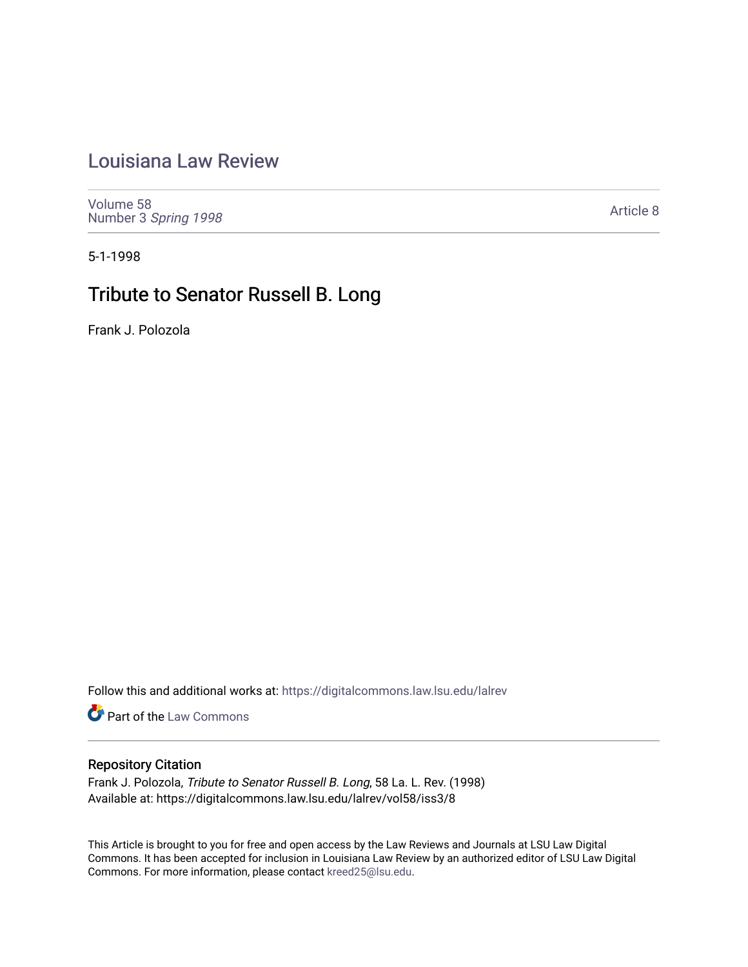# [Louisiana Law Review](https://digitalcommons.law.lsu.edu/lalrev)

[Volume 58](https://digitalcommons.law.lsu.edu/lalrev/vol58) Number 3 [Spring 1998](https://digitalcommons.law.lsu.edu/lalrev/vol58/iss3) 

[Article 8](https://digitalcommons.law.lsu.edu/lalrev/vol58/iss3/8) 

5-1-1998

# Tribute to Senator Russell B. Long

Frank J. Polozola

Follow this and additional works at: [https://digitalcommons.law.lsu.edu/lalrev](https://digitalcommons.law.lsu.edu/lalrev?utm_source=digitalcommons.law.lsu.edu%2Flalrev%2Fvol58%2Fiss3%2F8&utm_medium=PDF&utm_campaign=PDFCoverPages)

**Part of the [Law Commons](https://network.bepress.com/hgg/discipline/578?utm_source=digitalcommons.law.lsu.edu%2Flalrev%2Fvol58%2Fiss3%2F8&utm_medium=PDF&utm_campaign=PDFCoverPages)** 

## Repository Citation

Frank J. Polozola, Tribute to Senator Russell B. Long, 58 La. L. Rev. (1998) Available at: https://digitalcommons.law.lsu.edu/lalrev/vol58/iss3/8

This Article is brought to you for free and open access by the Law Reviews and Journals at LSU Law Digital Commons. It has been accepted for inclusion in Louisiana Law Review by an authorized editor of LSU Law Digital Commons. For more information, please contact [kreed25@lsu.edu](mailto:kreed25@lsu.edu).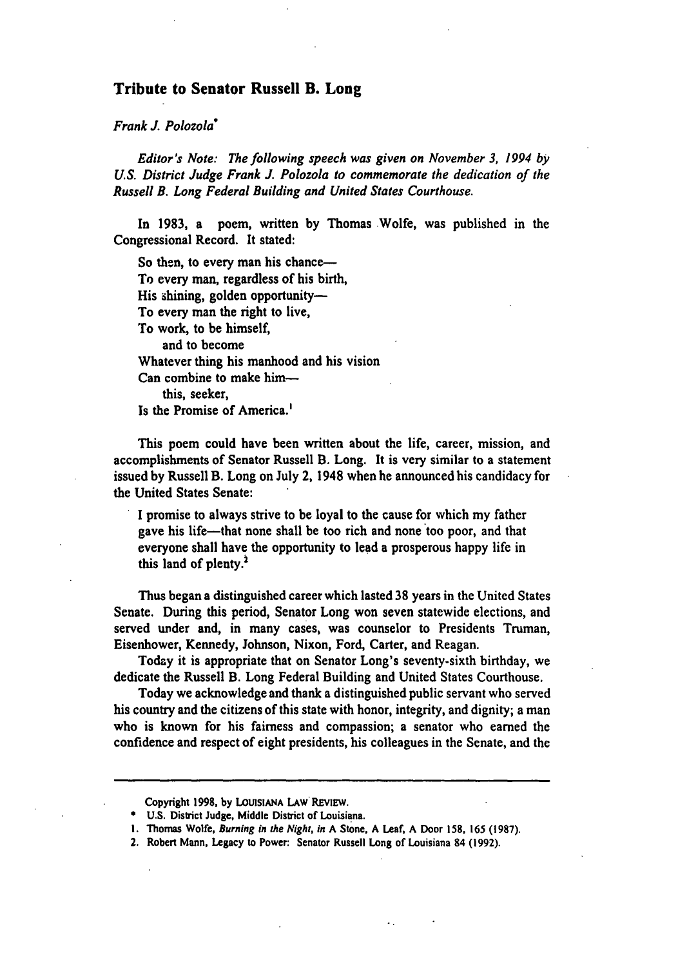### **Tribute to Senator Russell B. Long**

*FrankJ. Polozola"* 

*Editor's Note: The following speech was given on November 3, 1994 by US. DistrictJudge FrankJ. Polozola to commemorate the dedication of the Russell B. Long FederalBuilding and United States Courthouse.* 

In **1983,** a poem, written **by** Thomas Wolfe, was published in the Congressional Record. It stated:

So then, to every man his chance-To every man, regardless of his birth, His shining, golden opportunity-To every man the right to live, To work, to be himself, and to become Whatever thing his manhood and his vision Can combine to make himthis, seeker, Is the Promise of America.<sup>1</sup>

This poem could have been written about the life, career, mission, and accomplishments of Senator Russell B. Long. It is very similar to a statement issued **by** Russell B. Long on July 2, 1948 when he announced his candidacy for the United States Senate:

**I** promise to always strive to be loyal to the cause for which my father gave his life-that none shall be too rich and none too poor, and that everyone shall have the opportunity to lead a prosperous happy life in this land of plenty.<sup>2</sup>

Thus began a distinguished career which lasted **38** years in the United States Senate. During this period, Senator Long won seven statewide elections, and served under and, in many cases, was counselor to Presidents Truman, Eisenhower, Kennedy, Johnson, Nixon, Ford, Carter, and Reagan.

Today it is appropriate that on Senator Long's seventy-sixth birthday, we dedicate the Russell B. Long Federal Building and United States Courthouse.

Today we acknowledge and thank a distinguished public servant who served his country and the citizens of this state with honor, integrity, and dignity; a man who is known for his fairness and compassion; a senator who earned the confidence and respect of eight presidents, his colleagues in the Senate, and the

2. Robert Mann, Legacy to Power: Senator Russell Long of Louisiana 84 **(1992).** 

Copyright **1998,** by **LOUISIANA** LAW REVIEW.

**U.S.** District Judge, Middle District of Louisiana.

**I.** Thomas Wolfe, Burning in the Night, in **A** Stone, **A** Leaf, **A** Door **158, 165 (1987).**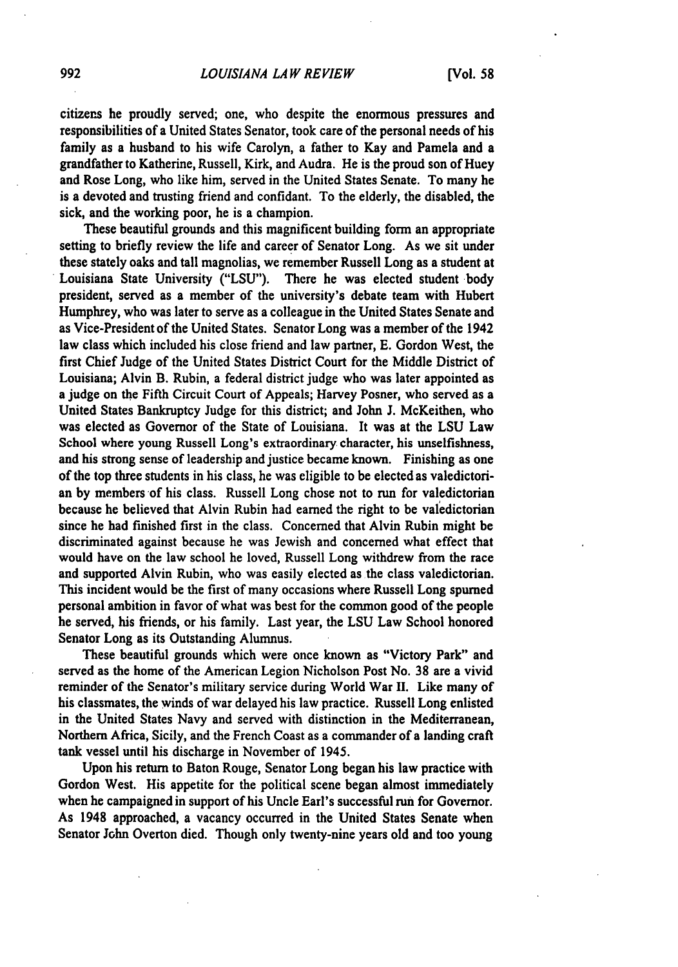#### *LOUISIANA LAW REVIEW* **[Vol. 58**

citizens he proudly served; one, who despite the enormous pressures and responsibilities of a United States Senator, took care of the personal needs of his family as a husband to his wife Carolyn, a father to Kay and Pamela and a grandfather to Katherine, Russell, Kirk, and Audra. He is the proud son of Huey and Rose Long, who like him, served in the United States Senate. To many he is a devoted and trusting friend and confidant. To the elderly, the disabled, the sick, and the working poor, he is a champion.

These beautiful grounds and this magnificent building form an appropriate setting to briefly review the life and career of Senator Long. As we sit under these stately oaks and tall magnolias, we remember Russell Long as a student at Louisiana State University **("LSU").** There he was elected student body president, served as a member of the university's debate team with Hubert Humphrey, who was later to serve as a colleague in the United States Senate and as Vice-President of the United States. Senator Long was a member of the 1942 law class which included his close friend and law partner, **E.** Gordon West, the first Chief Judge of the United States District Court for the Middle District of Louisiana; Alvin B. Rubin, a federal district judge who was later appointed as a judge on the Fifth Circuit Court of Appeals; Harvey Posner, who served as a United States Bankruptcy Judge for this district; and John **J.** McKeithen, who was elected as Governor of the State of Louisiana. It was at the **LSU** Law School where young Russell Long's extraordinary character, his unselfishness, and his strong sense of leadership and justice became known. Finishing as one of the top three students in his class, he was eligible to be elected as valedictorian **by** members of his class. Russell Long chose not to run for valedictorian because he believed that Alvin Rubin had earned the right to be valedictorian since he had finished first in the class. Concerned that Alvin Rubin might **be**  discriminated against because he was Jewish and concerned what effect that would have on the law school he loved, Russell Long withdrew from the race and supported Alvin Rubin, who was easily elected as the class valedictorian. This incident would be the first of many occasions where Russell Long spumed personal ambition in favor of what was best for the common good of the people he served, his friends, or his family. Last year, the **LSU** Law School honored Senator Long as its Outstanding Alumnus.

These beautiful grounds which were once known as "Victory Park" and served as the home of the American Legion Nicholson Post No. **38** are a vivid reminder of the Senator's military service during World War **II.** Like many of his classmates, the winds of war delayed his law practice. Russell Long enlisted in the United States Navy and served with distinction in the Mediterranean, Northern Africa, Sicily, and the French Coast as a commander of a landing craft tank vessel until his discharge in November of 1945.

Upon his return to Baton Rouge, Senator Long began his law practice with Gordon West. His appetite for the political scene began almost immediately when he campaigned in support of his Uncle Earl's successful run for Governor. As 1948 approached, a vacancy occurred in the United States Senate when Senator John Overton died. Though only twenty-nine years old and too young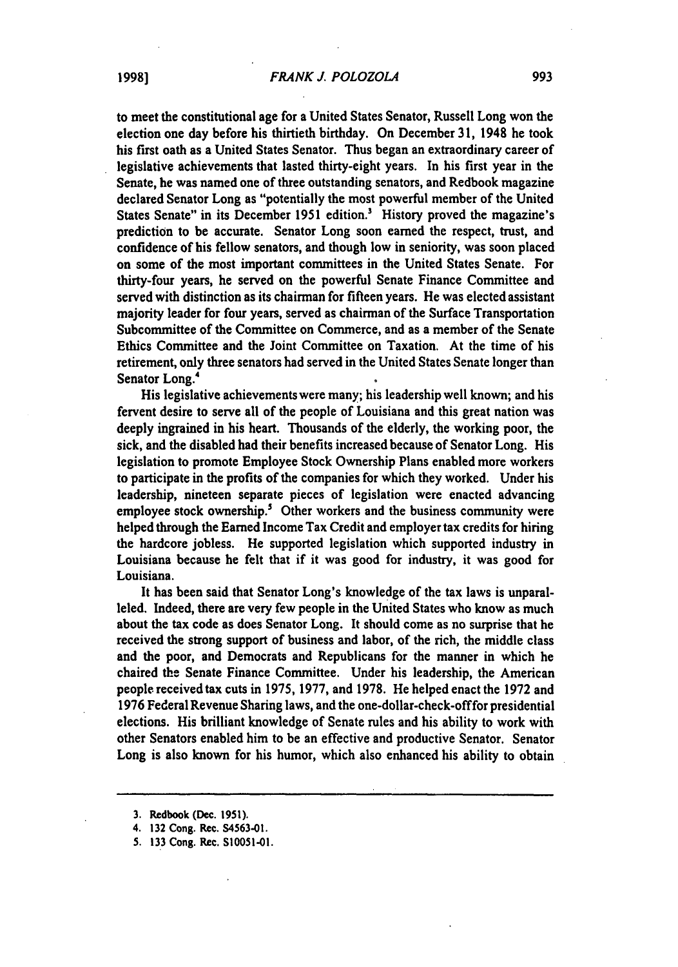to meet the constitutional age for a United States Senator, Russell Long won the election one day before his thirtieth birthday. On December **31,** 1948 he took his first oath as a United States Senator. Thus began an extraordinary career of legislative achievements that lasted thirty-eight years. In his first year in the Senate, he was named one of three outstanding senators, and Redbook magazine declared Senator Long as "potentially the most powerful member of the United States Senate" in its December **1951** edition.' History proved the magazine's prediction to be accurate. Senator Long soon earned the respect, trust, and confidence of his fellow senators, and though low in seniority, was soon placed on some of the most important committees in the United States Senate. For thirty-four years, he served on the powerful Senate Finance Committee and served with distinction as its chairman for fifteen years. He was elected assistant majority leader for four years, served as chairman of the Surface Transportation Subcommittee of the Committee on Commerce, and as a member of the Senate Ethics Committee and the Joint Committee on Taxation. At the time of his retirement, only three senators had served in the United States Senate longer than Senator Long.4

His legislative achievements were many; his leadership well known; and his fervent desire to serve all of the people of Louisiana and this great nation was deeply ingrained in his heart. Thousands of the elderly, the working poor, the sick, and the disabled had their benefits increased because of Senator Long. His legislation to promote Employee Stock Ownership Plans enabled more workers to participate in the profits of the companies for which they worked. Under his leadership, nineteen separate pieces of legislation were enacted advancing employee stock ownership.<sup>5</sup> Other workers and the business community were helped through the Earned Income Tax Credit and employer tax credits for hiring the hardcore jobless. He supported legislation which supported industry in Louisiana because he felt that if it was good for industry, it was good for Louisiana.

It has been said that Senator Long's knowledge of the tax laws is unparalleled. Indeed, there are very few people in the United States who know as much about the tax code as does Senator Long. It should come as no surprise that he received the strong support of business and labor, of the rich, the middle class and the poor, and Democrats and Republicans for the manner in which he chaired the Senate Finance Committee. Under his leadership, the American people received tax cuts in **1975, 1977,** and **1978.** He helped enact the **1972** and **1976** Federal Revenue Sharing laws, and the one-dollar-check-offfor presidential elections. His brilliant knowledge of Senate rules and his ability to work with other Senators enabled him to be an effective and productive Senator. Senator Long is also known for his humor, which also enhanced his ability to obtain

**<sup>3.</sup>** Redbook (Dec. **1951).** 

<sup>4.</sup> **132** Cong. Rec. **S4563-01.** 

**<sup>5.</sup> 133** Cong. Rec. **S10051-01.**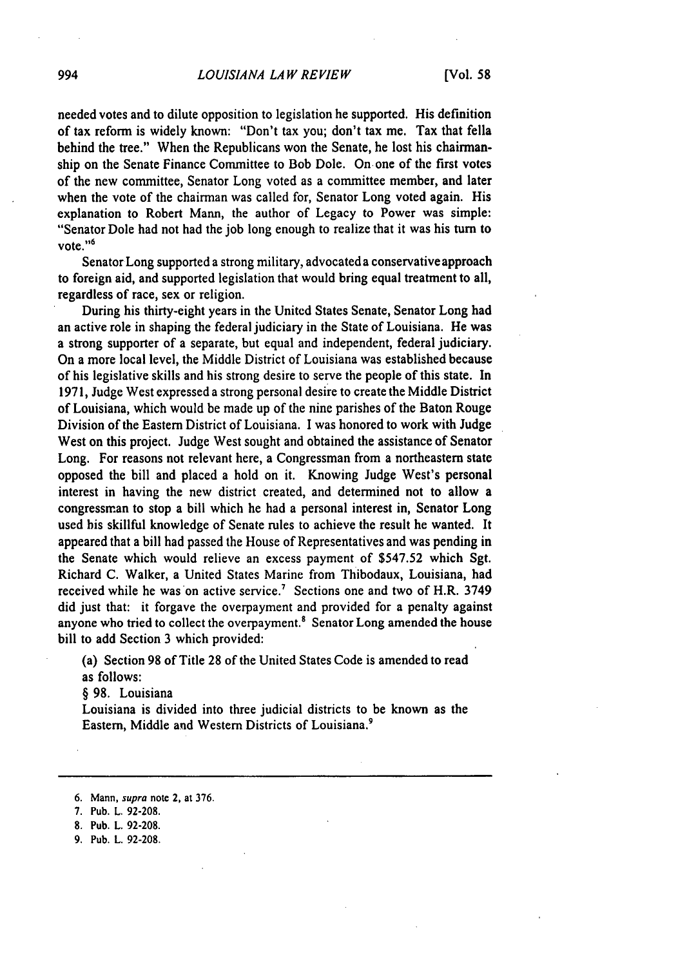### *LOUISIANA LAW REVIEW [Vol. 58*

needed votes and to dilute opposition to legislation he supported. His definition of tax reform is widely known: "Don't tax you; don't tax me. Tax that fella behind the tree." When the Republicans won the Senate, he lost his chairmanship on the Senate Finance Committee to Bob Dole. On one of the first votes of the new committee, Senator Long voted as a committee member, and later when the vote of the chairman was called for, Senator Long voted again. His explanation to Robert Mann, the author of Legacy to Power was simple: "Senator Dole had not had the **job** long enough to realize that it was his turn to vote."<sup>6</sup>

Senator Long supported a strong military, advocateda conservative approach to foreign aid, and supported legislation that would bring equal treatment to all, regardless of race, sex or religion.

During his thirty-eight years in the United States Senate, Senator Long had an active role in shaping the federal judiciary in the State of Louisiana. He was a strong supporter of a separate, but equal and independent, federal judiciary. On a more local level, the Middle District of Louisiana was established because of his legislative skills and his strong desire to serve the people of this state. In **1971,** Judge West expressed a strong personal desire to create the Middle District of Louisiana, which would be made up of the nine parishes of the Baton Rouge Division of the Eastern District of Louisiana. **I** was honored to work with Judge West on this project. Judge West sought and obtained the assistance of Senator Long. For reasons not relevant here, a Congressman from a northeastern state opposed the bill and placed a hold on it. Knowing Judge West's personal interest in having the new district created, and determined not to allow a congressman to stop a bill which he had a personal interest in, Senator Long used his skillful knowledge of Senate rules to achieve the result he wanted. It appeared that a bill had passed the House of Representatives and was pending in the Senate which would relieve an excess payment of **\$547.52** which Sgt. Richard **C.** Walker, a United States Marine from Thibodaux, Louisiana, had received while he was on active service.<sup>7</sup> Sections one and two of H.R. 3749 did just that: it forgave the overpayment and provided for a penalty against anyone who tried to collect the overpayment. $\delta$  Senator Long amended the house bill to add Section **3** which provided:

(a) Section **98** of Title **28** of the United States Code is amended to read as follows:

§ **98.** Louisiana

Louisiana is divided into three judicial districts to be known as the Eastern, Middle and Western Districts of Louisiana.'

- **8.** Pub. L. 92-208.
- **9.** Pub. L. 92-208.

<sup>6.</sup> Mann, supra notc 2, at 376.

<sup>7.</sup> Pub. L. 92-208.